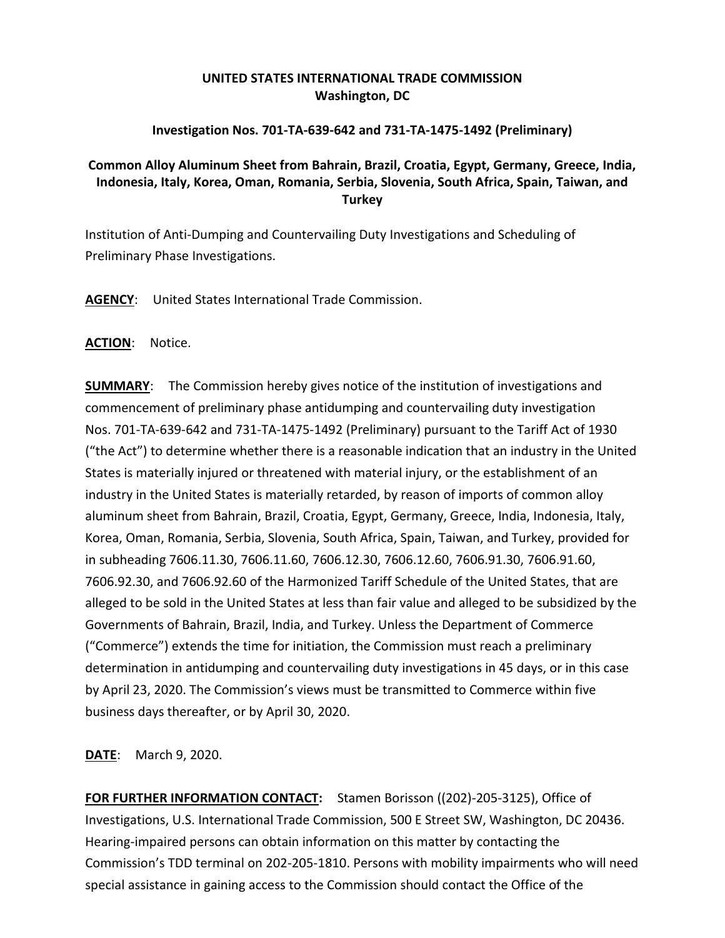## **UNITED STATES INTERNATIONAL TRADE COMMISSION Washington, DC**

## **Investigation Nos. 701-TA-639-642 and 731-TA-1475-1492 (Preliminary)**

## **Common Alloy Aluminum Sheet from Bahrain, Brazil, Croatia, Egypt, Germany, Greece, India, Indonesia, Italy, Korea, Oman, Romania, Serbia, Slovenia, South Africa, Spain, Taiwan, and Turkey**

Institution of Anti-Dumping and Countervailing Duty Investigations and Scheduling of Preliminary Phase Investigations.

**AGENCY**: United States International Trade Commission.

**ACTION**: Notice.

**SUMMARY**: The Commission hereby gives notice of the institution of investigations and commencement of preliminary phase antidumping and countervailing duty investigation Nos. 701-TA-639-642 and 731-TA-1475-1492 (Preliminary) pursuant to the Tariff Act of 1930 ("the Act") to determine whether there is a reasonable indication that an industry in the United States is materially injured or threatened with material injury, or the establishment of an industry in the United States is materially retarded, by reason of imports of common alloy aluminum sheet from Bahrain, Brazil, Croatia, Egypt, Germany, Greece, India, Indonesia, Italy, Korea, Oman, Romania, Serbia, Slovenia, South Africa, Spain, Taiwan, and Turkey, provided for in subheading 7606.11.30, 7606.11.60, 7606.12.30, 7606.12.60, 7606.91.30, 7606.91.60, 7606.92.30, and 7606.92.60 of the Harmonized Tariff Schedule of the United States, that are alleged to be sold in the United States at less than fair value and alleged to be subsidized by the Governments of Bahrain, Brazil, India, and Turkey. Unless the Department of Commerce ("Commerce") extends the time for initiation, the Commission must reach a preliminary determination in antidumping and countervailing duty investigations in 45 days, or in this case by April 23, 2020. The Commission's views must be transmitted to Commerce within five business days thereafter, or by April 30, 2020.

**DATE**: March 9, 2020.

**FOR FURTHER INFORMATION CONTACT:** Stamen Borisson ((202)-205-3125), Office of Investigations, U.S. International Trade Commission, 500 E Street SW, Washington, DC 20436. Hearing-impaired persons can obtain information on this matter by contacting the Commission's TDD terminal on 202-205-1810. Persons with mobility impairments who will need special assistance in gaining access to the Commission should contact the Office of the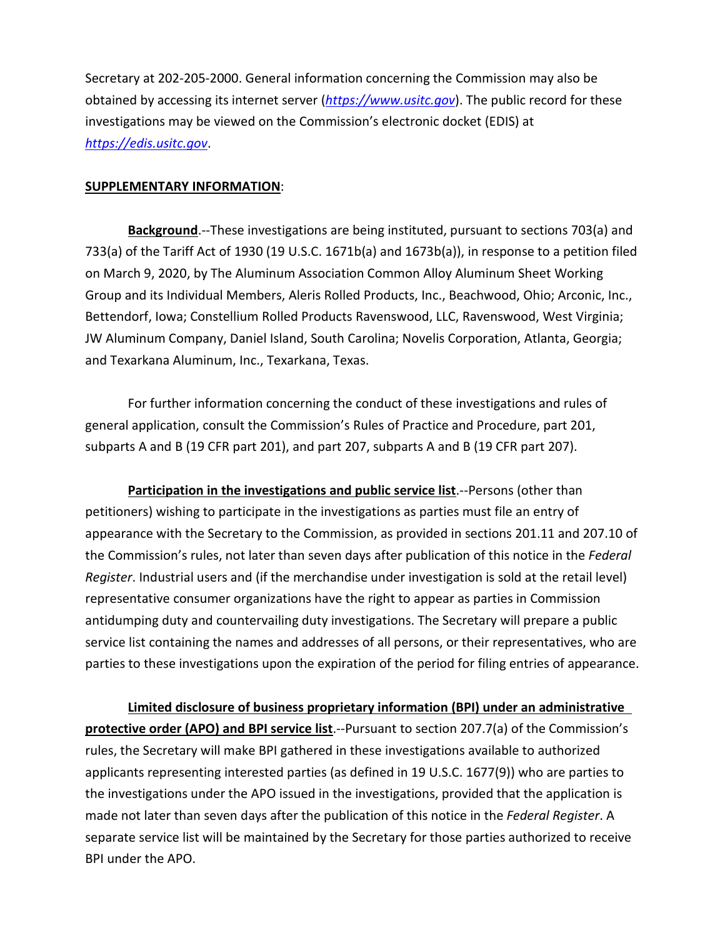Secretary at 202-205-2000. General information concerning the Commission may also be obtained by accessing its internet server (*[https://www.usitc.gov](https://www.usitc.gov/)*). The public record for these investigations may be viewed on the Commission's electronic docket (EDIS) at *[https://edis.usitc.gov](https://edis.usitc.gov/)*.

## **SUPPLEMENTARY INFORMATION**:

**Background**.--These investigations are being instituted, pursuant to sections 703(a) and 733(a) of the Tariff Act of 1930 (19 U.S.C. 1671b(a) and 1673b(a)), in response to a petition filed on March 9, 2020, by The Aluminum Association Common Alloy Aluminum Sheet Working Group and its Individual Members, Aleris Rolled Products, Inc., Beachwood, Ohio; Arconic, Inc., Bettendorf, Iowa; Constellium Rolled Products Ravenswood, LLC, Ravenswood, West Virginia; JW Aluminum Company, Daniel Island, South Carolina; Novelis Corporation, Atlanta, Georgia; and Texarkana Aluminum, Inc., Texarkana, Texas.

For further information concerning the conduct of these investigations and rules of general application, consult the Commission's Rules of Practice and Procedure, part 201, subparts A and B (19 CFR part 201), and part 207, subparts A and B (19 CFR part 207).

**Participation in the investigations and public service list**.--Persons (other than petitioners) wishing to participate in the investigations as parties must file an entry of appearance with the Secretary to the Commission, as provided in sections 201.11 and 207.10 of the Commission's rules, not later than seven days after publication of this notice in the *Federal Register*. Industrial users and (if the merchandise under investigation is sold at the retail level) representative consumer organizations have the right to appear as parties in Commission antidumping duty and countervailing duty investigations. The Secretary will prepare a public service list containing the names and addresses of all persons, or their representatives, who are parties to these investigations upon the expiration of the period for filing entries of appearance.

**Limited disclosure of business proprietary information (BPI) under an administrative protective order (APO) and BPI service list**.--Pursuant to section 207.7(a) of the Commission's rules, the Secretary will make BPI gathered in these investigations available to authorized applicants representing interested parties (as defined in 19 U.S.C. 1677(9)) who are parties to the investigations under the APO issued in the investigations, provided that the application is made not later than seven days after the publication of this notice in the *Federal Register*. A separate service list will be maintained by the Secretary for those parties authorized to receive BPI under the APO.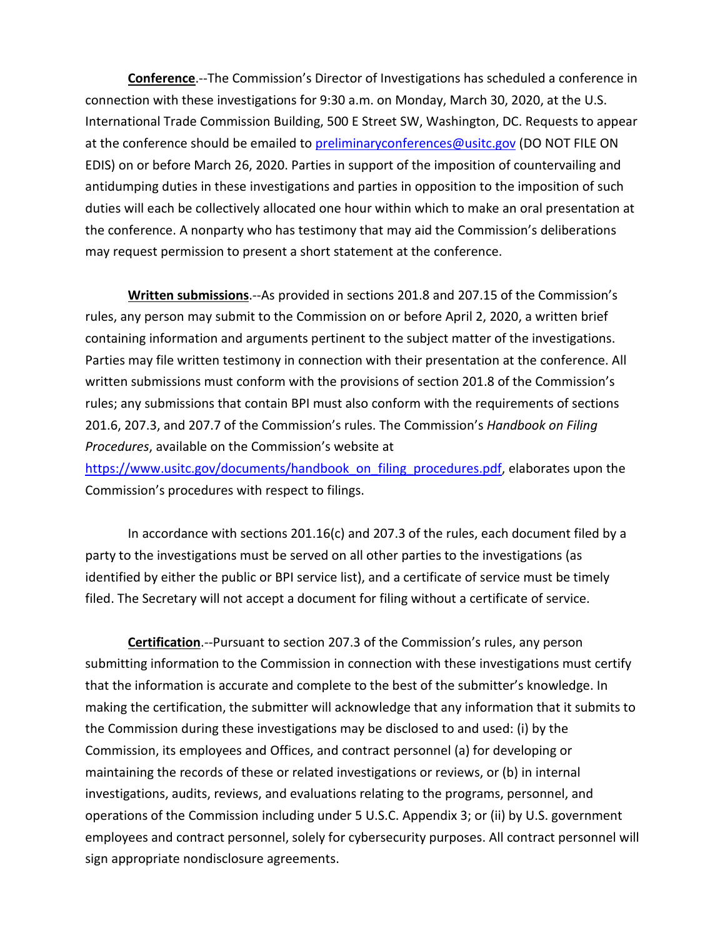**Conference**.--The Commission's Director of Investigations has scheduled a conference in connection with these investigations for 9:30 a.m. on Monday, March 30, 2020, at the U.S. International Trade Commission Building, 500 E Street SW, Washington, DC. Requests to appear at the conference should be emailed to [preliminaryconferences@usitc.gov](mailto:preliminaryconferences@usitc.gov) (DO NOT FILE ON EDIS) on or before March 26, 2020. Parties in support of the imposition of countervailing and antidumping duties in these investigations and parties in opposition to the imposition of such duties will each be collectively allocated one hour within which to make an oral presentation at the conference. A nonparty who has testimony that may aid the Commission's deliberations may request permission to present a short statement at the conference.

**Written submissions**.--As provided in sections 201.8 and 207.15 of the Commission's rules, any person may submit to the Commission on or before April 2, 2020, a written brief containing information and arguments pertinent to the subject matter of the investigations. Parties may file written testimony in connection with their presentation at the conference. All written submissions must conform with the provisions of section 201.8 of the Commission's rules; any submissions that contain BPI must also conform with the requirements of sections 201.6, 207.3, and 207.7 of the Commission's rules. The Commission's *Handbook on Filing Procedures*, available on the Commission's website at

[https://www.usitc.gov/documents/handbook\\_on\\_filing\\_procedures.pdf,](https://www.usitc.gov/documents/handbook_on_filing_procedures.pdf) elaborates upon the Commission's procedures with respect to filings.

In accordance with sections 201.16(c) and 207.3 of the rules, each document filed by a party to the investigations must be served on all other parties to the investigations (as identified by either the public or BPI service list), and a certificate of service must be timely filed. The Secretary will not accept a document for filing without a certificate of service.

**Certification**.--Pursuant to section 207.3 of the Commission's rules, any person submitting information to the Commission in connection with these investigations must certify that the information is accurate and complete to the best of the submitter's knowledge. In making the certification, the submitter will acknowledge that any information that it submits to the Commission during these investigations may be disclosed to and used: (i) by the Commission, its employees and Offices, and contract personnel (a) for developing or maintaining the records of these or related investigations or reviews, or (b) in internal investigations, audits, reviews, and evaluations relating to the programs, personnel, and operations of the Commission including under 5 U.S.C. Appendix 3; or (ii) by U.S. government employees and contract personnel, solely for cybersecurity purposes. All contract personnel will sign appropriate nondisclosure agreements.